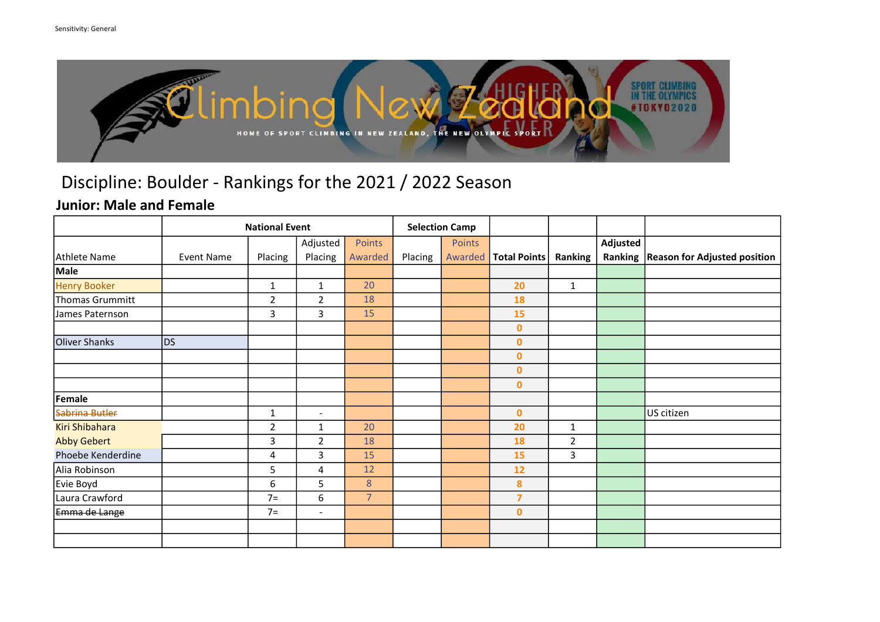

### Junior: Male and Female

|                       |                   | <b>National Event</b> |                |                | <b>Selection Camp</b> |         |                     |                |          |                                     |
|-----------------------|-------------------|-----------------------|----------------|----------------|-----------------------|---------|---------------------|----------------|----------|-------------------------------------|
|                       |                   |                       | Adjusted       | Points         |                       | Points  |                     |                | Adjusted |                                     |
| Athlete Name          | <b>Event Name</b> | Placing               | Placing        | Awarded        | Placing               | Awarded | <b>Total Points</b> | Ranking        | Ranking  | <b>Reason for Adjusted position</b> |
| Male                  |                   |                       |                |                |                       |         |                     |                |          |                                     |
| <b>Henry Booker</b>   |                   | $\mathbf 1$           | $\mathbf{1}$   | 20             |                       |         | 20                  | $\mathbf{1}$   |          |                                     |
| Thomas Grummitt       |                   | $\mathbf 2$           | $\overline{2}$ | 18             |                       |         | 18                  |                |          |                                     |
| James Paternson       |                   | $\mathbf{3}$          | 3              | 15             |                       |         | 15                  |                |          |                                     |
|                       |                   |                       |                |                |                       |         | $\mathbf{0}$        |                |          |                                     |
| Oliver Shanks         | D <sub>S</sub>    |                       |                |                |                       |         | $\mathbf{0}$        |                |          |                                     |
|                       |                   |                       |                |                |                       |         | $\mathbf 0$         |                |          |                                     |
|                       |                   |                       |                |                |                       |         | $\mathbf{0}$        |                |          |                                     |
|                       |                   |                       |                |                |                       |         | $\mathbf 0$         |                |          |                                     |
| Female                |                   |                       |                |                |                       |         |                     |                |          |                                     |
| Sabrina Butler        |                   | $\mathbf{1}$          | $\blacksquare$ |                |                       |         | $\mathbf{0}$        |                |          | US citizen                          |
| <b>Kiri Shibahara</b> |                   | $\overline{2}$        | $\mathbf{1}$   | 20             |                       |         | 20                  | $\mathbf{1}$   |          |                                     |
| <b>Abby Gebert</b>    |                   | 3                     | $\overline{2}$ | 18             |                       |         | 18                  | $\overline{2}$ |          |                                     |
| Phoebe Kenderdine     |                   | 4                     | 3              | 15             |                       |         | 15                  | $\overline{3}$ |          |                                     |
| Alia Robinson         |                   | 5                     | 4              | 12             |                       |         | 12                  |                |          |                                     |
| Evie Boyd             |                   | 6                     | $5\phantom{.}$ | 8              |                       |         | 8                   |                |          |                                     |
| Laura Crawford        |                   | $7=$                  | 6              | $\overline{7}$ |                       |         | $\overline{7}$      |                |          |                                     |
| Emma de Lange         |                   | $7=$                  | $\blacksquare$ |                |                       |         | $\mathbf{0}$        |                |          |                                     |
|                       |                   |                       |                |                |                       |         |                     |                |          |                                     |
|                       |                   |                       |                |                |                       |         |                     |                |          |                                     |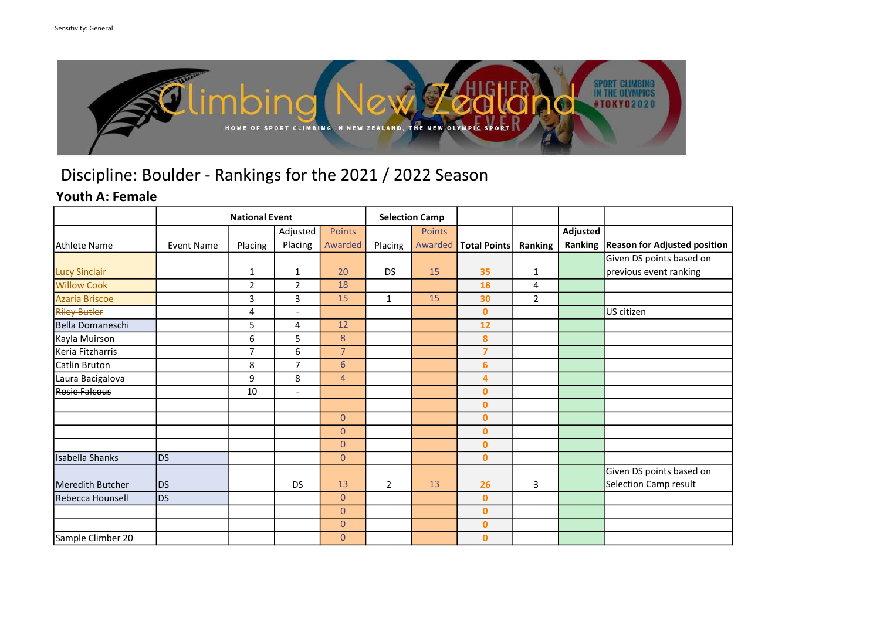

### Youth A: Female

|                      |                   | <b>Selection Camp</b> |                              |                |                |               |                     |                |          |                                     |
|----------------------|-------------------|-----------------------|------------------------------|----------------|----------------|---------------|---------------------|----------------|----------|-------------------------------------|
|                      |                   |                       | Adjusted                     | <b>Points</b>  |                | <b>Points</b> |                     |                | Adjusted |                                     |
| lAthlete Name        | <b>Event Name</b> | Placing               | Placing                      | Awarded        | Placing        | Awarded       | <b>Total Points</b> | Ranking        | Ranking  | <b>Reason for Adjusted position</b> |
|                      |                   |                       |                              |                |                |               |                     |                |          | Given DS points based on            |
| <b>Lucy Sinclair</b> |                   | $\mathbf{1}$          | $\mathbf{1}$                 | 20             | <b>DS</b>      | 15            | 35                  | $\mathbf{1}$   |          | previous event ranking              |
| <b>Willow Cook</b>   |                   | $\overline{2}$        | $\overline{2}$               | 18             |                |               | 18                  | 4              |          |                                     |
| Azaria Briscoe       |                   | 3                     | 3                            | 15             | $\mathbf{1}$   | 15            | 30                  | $\overline{2}$ |          |                                     |
| <b>Riley Butler</b>  |                   | 4                     | $\overline{a}$               |                |                |               | $\mathbf{0}$        |                |          | US citizen                          |
| Bella Domaneschi     |                   | 5                     | 4                            | 12             |                |               | 12                  |                |          |                                     |
| Kayla Muirson        |                   | 6                     | 5                            | 8              |                |               | 8                   |                |          |                                     |
| Keria Fitzharris     |                   | $\overline{7}$        | 6                            | $\overline{7}$ |                |               | $\overline{7}$      |                |          |                                     |
| lCatlin Bruton       |                   | 8                     | $\overline{7}$               | $6\phantom{1}$ |                |               | $6\phantom{a}$      |                |          |                                     |
| Laura Bacigalova     |                   | 9                     | 8                            | $\overline{4}$ |                |               | $\overline{4}$      |                |          |                                     |
| <b>Rosie Falcous</b> |                   | 10                    | $\qquad \qquad \blacksquare$ |                |                |               | $\mathbf{0}$        |                |          |                                     |
|                      |                   |                       |                              |                |                |               | $\mathbf 0$         |                |          |                                     |
|                      |                   |                       |                              | $\overline{0}$ |                |               | $\mathbf{0}$        |                |          |                                     |
|                      |                   |                       |                              | $\overline{0}$ |                |               | $\bf{0}$            |                |          |                                     |
|                      |                   |                       |                              | $\overline{0}$ |                |               | $\mathbf{0}$        |                |          |                                     |
| Isabella Shanks      | <b>DS</b>         |                       |                              | $\overline{0}$ |                |               | $\mathbf{0}$        |                |          |                                     |
|                      |                   |                       |                              |                |                |               |                     |                |          | Given DS points based on            |
| Meredith Butcher     | <b>DS</b>         |                       | <b>DS</b>                    | 13             | $\overline{2}$ | 13            | 26                  | 3              |          | Selection Camp result               |
| Rebecca Hounsell     | <b>DS</b>         |                       |                              | $\overline{0}$ |                |               | $\mathbf{0}$        |                |          |                                     |
|                      |                   |                       |                              | $\overline{0}$ |                |               | $\mathbf{0}$        |                |          |                                     |
|                      |                   |                       |                              | $\overline{0}$ |                |               | $\mathbf{0}$        |                |          |                                     |
| Sample Climber 20    |                   |                       |                              | $\overline{0}$ |                |               | $\mathbf{0}$        |                |          |                                     |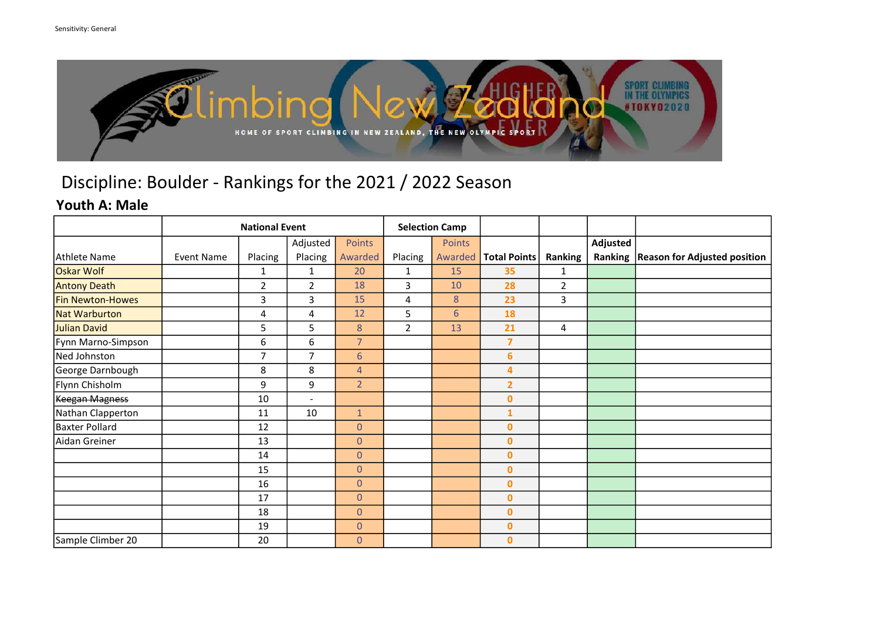

#### Youth A: Male

|                         |                   | <b>Selection Camp</b> |                          |                |                |                 |                     |                |          |                                        |
|-------------------------|-------------------|-----------------------|--------------------------|----------------|----------------|-----------------|---------------------|----------------|----------|----------------------------------------|
|                         |                   |                       | Adjusted                 | Points         |                | Points          |                     |                | Adjusted |                                        |
| Athlete Name            | <b>Event Name</b> | Placing               | Placing                  | Awarded        | Placing        | Awarded         | <b>Total Points</b> | Ranking        |          | Ranking   Reason for Adjusted position |
| <b>Oskar Wolf</b>       |                   | 1                     | 1                        | 20             | 1              | 15              | 35                  | 1              |          |                                        |
| <b>Antony Death</b>     |                   | $\overline{2}$        | $\overline{2}$           | 18             | $\overline{3}$ | 10              | 28                  | $\overline{2}$ |          |                                        |
| <b>Fin Newton-Howes</b> |                   | 3                     | 3                        | 15             | 4              | 8               | 23                  | 3              |          |                                        |
| Nat Warburton           |                   | 4                     | 4                        | 12             | 5 <sub>1</sub> | $6\overline{6}$ | 18                  |                |          |                                        |
| Julian David            |                   | 5                     | 5                        | 8              | $\overline{2}$ | 13              | 21                  | 4              |          |                                        |
| Fynn Marno-Simpson      |                   | 6                     | 6                        | $\overline{7}$ |                |                 | $\overline{7}$      |                |          |                                        |
| Ned Johnston            |                   | 7                     | 7                        | $6\phantom{a}$ |                |                 | $6\phantom{a}$      |                |          |                                        |
| George Darnbough        |                   | 8                     | 8                        | $\overline{4}$ |                |                 | 4                   |                |          |                                        |
| Flynn Chisholm          |                   | 9                     | 9                        | 2 <sup>2</sup> |                |                 | $\overline{2}$      |                |          |                                        |
| Keegan Magness          |                   | 10                    | $\overline{\phantom{a}}$ |                |                |                 | $\mathbf{0}$        |                |          |                                        |
| Nathan Clapperton       |                   | 11                    | 10                       | $\mathbf{1}$   |                |                 | $\mathbf{1}$        |                |          |                                        |
| <b>Baxter Pollard</b>   |                   | 12                    |                          | $\overline{0}$ |                |                 | $\mathbf{0}$        |                |          |                                        |
| Aidan Greiner           |                   | 13                    |                          | $\overline{0}$ |                |                 | $\mathbf{0}$        |                |          |                                        |
|                         |                   | 14                    |                          | $\mathbf{0}$   |                |                 | $\mathbf 0$         |                |          |                                        |
|                         |                   | 15                    |                          | $\overline{0}$ |                |                 | $\mathbf{0}$        |                |          |                                        |
|                         |                   | 16                    |                          | $\overline{0}$ |                |                 | $\mathbf{0}$        |                |          |                                        |
|                         |                   | 17                    |                          | $\overline{0}$ |                |                 | $\mathbf{0}$        |                |          |                                        |
|                         |                   | 18                    |                          | $\overline{0}$ |                |                 | $\mathbf{0}$        |                |          |                                        |
|                         |                   | 19                    |                          | $\overline{0}$ |                |                 | $\mathbf{0}$        |                |          |                                        |
| Sample Climber 20       |                   | 20                    |                          | $\overline{0}$ |                |                 | $\mathbf{0}$        |                |          |                                        |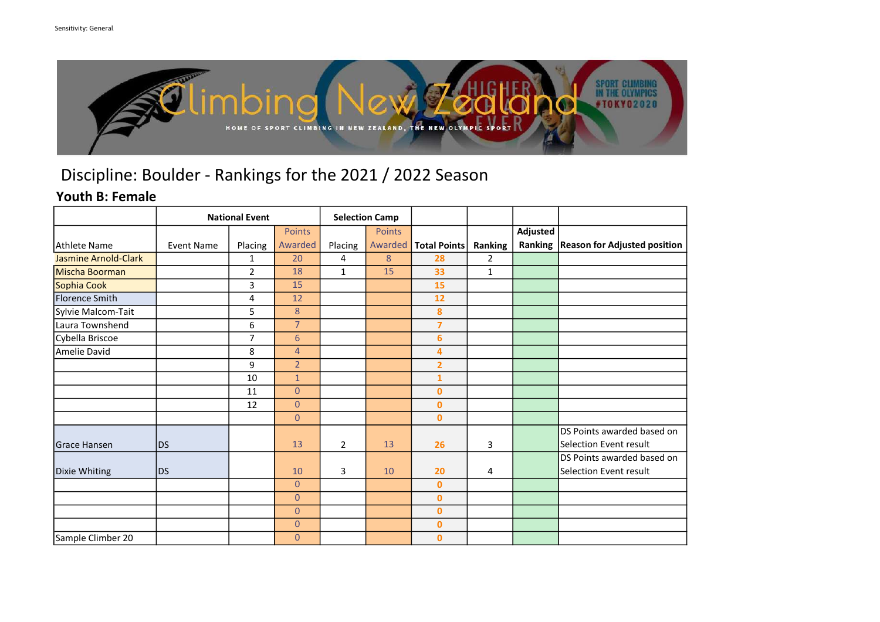

### Youth B: Female

|                             | <b>National Event</b> |                |                |                | <b>Selection Camp</b> |                     |                |          |                                        |
|-----------------------------|-----------------------|----------------|----------------|----------------|-----------------------|---------------------|----------------|----------|----------------------------------------|
|                             |                       |                | Points         |                | Points                |                     |                | Adjusted |                                        |
| Athlete Name                | <b>Event Name</b>     | Placing        | Awarded        | Placing        | Awarded               | <b>Total Points</b> | Ranking        |          | Ranking   Reason for Adjusted position |
| <b>Jasmine Arnold-Clark</b> |                       | $\mathbf{1}$   | 20             | 4              | 8                     | 28                  | $\overline{2}$ |          |                                        |
| Mischa Boorman              |                       | $\overline{2}$ | 18             | $\mathbf{1}$   | 15                    | 33                  | $\mathbf{1}$   |          |                                        |
| Sophia Cook                 |                       | 3              | 15             |                |                       | 15                  |                |          |                                        |
| Florence Smith              |                       | 4              | 12             |                |                       | 12                  |                |          |                                        |
| Sylvie Malcom-Tait          |                       | 5              | 8              |                |                       | 8                   |                |          |                                        |
| Laura Townshend             |                       | 6              | $\overline{7}$ |                |                       | $\overline{7}$      |                |          |                                        |
| Cybella Briscoe             |                       | $\overline{7}$ | 6              |                |                       | 6                   |                |          |                                        |
| Amelie David                |                       | 8              | $\overline{4}$ |                |                       | 4                   |                |          |                                        |
|                             |                       | 9              | $\overline{2}$ |                |                       | $\overline{2}$      |                |          |                                        |
|                             |                       | 10             | $\mathbf{1}$   |                |                       | $\mathbf{1}$        |                |          |                                        |
|                             |                       | 11             | $\overline{0}$ |                |                       | $\mathbf{0}$        |                |          |                                        |
|                             |                       | 12             | $\overline{0}$ |                |                       | $\mathbf 0$         |                |          |                                        |
|                             |                       |                | $\overline{0}$ |                |                       | $\mathbf{0}$        |                |          |                                        |
|                             |                       |                |                |                |                       |                     |                |          | DS Points awarded based on             |
| Grace Hansen                | <b>DS</b>             |                | 13             | $\overline{2}$ | 13                    | 26                  | 3              |          | Selection Event result                 |
|                             |                       |                |                |                |                       |                     |                |          | DS Points awarded based on             |
| Dixie Whiting               | <b>DS</b>             |                | 10             | 3              | 10                    | 20                  | 4              |          | Selection Event result                 |
|                             |                       |                | $\overline{0}$ |                |                       | $\bf{0}$            |                |          |                                        |
|                             |                       |                | $\overline{0}$ |                |                       | $\mathbf{0}$        |                |          |                                        |
|                             |                       |                | $\overline{0}$ |                |                       | $\mathbf 0$         |                |          |                                        |
|                             |                       |                | $\overline{0}$ |                |                       | $\mathbf{0}$        |                |          |                                        |
| Sample Climber 20           |                       |                | $\overline{0}$ |                |                       | $\bf{0}$            |                |          |                                        |